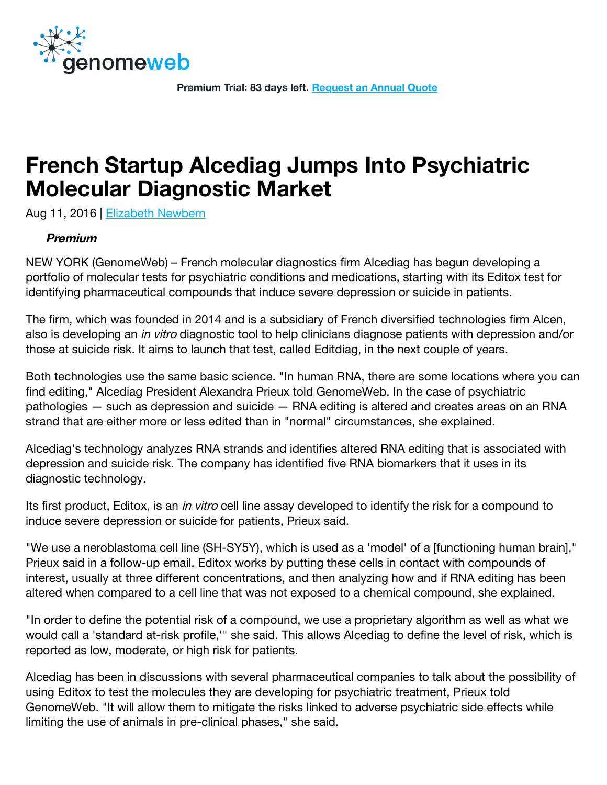

Premium Trial: 83 days left. [Request an Annual Quote](https://www.genomeweb.com/request-quote)

# French Startup Alcediag Jumps Into Psychiatric Molecular Diagnostic Market

Aug 11, 2016 | [Elizabeth Newbern](https://www.genomeweb.com/about-us/our-staff/elizabeth-newbern)

#### Premium

NEW YORK (GenomeWeb) – French molecular diagnostics firm Alcediag has begun developing a portfolio of molecular tests for psychiatric conditions and medications, starting with its Editox test for identifying pharmaceutical compounds that induce severe depression or suicide in patients.

The firm, which was founded in 2014 and is a subsidiary of French diversified technologies firm Alcen, also is developing an *in vitro* diagnostic tool to help clinicians diagnose patients with depression and/or those at suicide risk. It aims to launch that test, called Editdiag, in the next couple of years.

Both technologies use the same basic science. "In human RNA, there are some locations where you can find editing," Alcediag President Alexandra Prieux told GenomeWeb. In the case of psychiatric pathologies — such as depression and suicide — RNA editing is altered and creates areas on an RNA strand that are either more or less edited than in "normal" circumstances, she explained.

Alcediag's technology analyzes RNA strands and identifies altered RNA editing that is associated with depression and suicide risk. The company has identified five RNA biomarkers that it uses in its diagnostic technology.

Its first product, Editox, is an *in vitro* cell line assay developed to identify the risk for a compound to induce severe depression or suicide for patients, Prieux said.

"We use a neroblastoma cell line (SH-SY5Y), which is used as a 'model' of a [functioning human brain]," Prieux said in a follow-up email. Editox works by putting these cells in contact with compounds of interest, usually at three different concentrations, and then analyzing how and if RNA editing has been altered when compared to a cell line that was not exposed to a chemical compound, she explained.

"In order to define the potential risk of a compound, we use a proprietary algorithm as well as what we would call a 'standard at-risk profile,'" she said. This allows Alcediag to define the level of risk, which is reported as low, moderate, or high risk for patients.

Alcediag has been in discussions with several pharmaceutical companies to talk about the possibility of using Editox to test the molecules they are developing for psychiatric treatment, Prieux told GenomeWeb. "It will allow them to mitigate the risks linked to adverse psychiatric side effects while limiting the use of animals in pre-clinical phases," she said.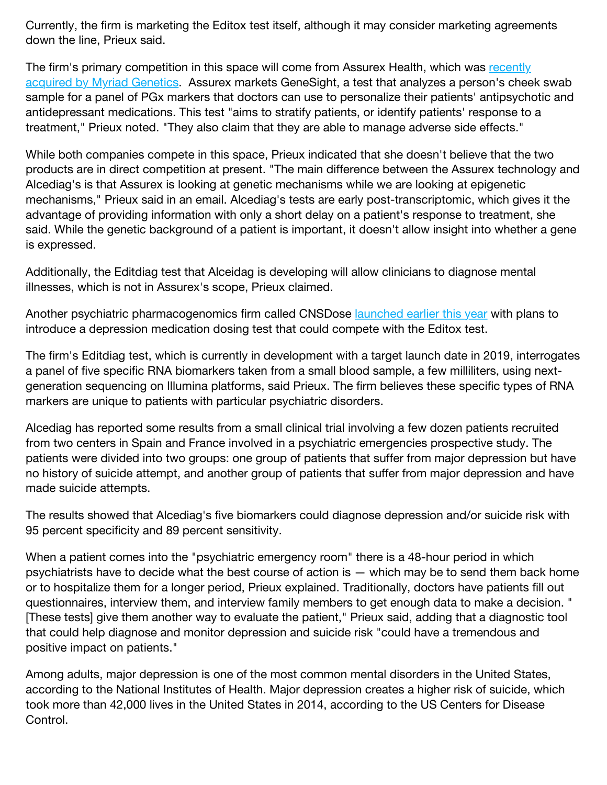Currently, the firm is marketing the Editox test itself, although it may consider marketing agreements down the line, Prieux said.

The firm's primary competition in this space will come from Assurex Health, which was recently [acquired by Myriad Genetics. Assurex markets GeneSight, a test that analyzes a person's chee](https://www.genomeweb.com/molecular-diagnostics/myriad-acquire-psychiatry-focused-pgx-firm-assurex)k swab sample for a panel of PGx markers that doctors can use to personalize their patients' antipsychotic and antidepressant medications. This test "aims to stratify patients, or identify patients' response to a treatment," Prieux noted. "They also claim that they are able to manage adverse side effects."

While both companies compete in this space, Prieux indicated that she doesn't believe that the two products are in direct competition at present. "The main difference between the Assurex technology and Alcediag's is that Assurex is looking at genetic mechanisms while we are looking at epigenetic mechanisms," Prieux said in an email. Alcediag's tests are early post-transcriptomic, which gives it the advantage of providing information with only a short delay on a patient's response to treatment, she said. While the genetic background of a patient is important, it doesn't allow insight into whether a gene is expressed.

Additionally, the Editdiag test that Alceidag is developing will allow clinicians to diagnose mental illnesses, which is not in Assurex's scope, Prieux claimed.

Another psychiatric pharmacogenomics firm called CNSDose [launched earlier this year](https://www.genomeweb.com/molecular-diagnostics/new-pgx-firm-cnsdose-launch-depression-drug-dosing-test) with plans to introduce a depression medication dosing test that could compete with the Editox test.

The firm's Editdiag test, which is currently in development with a target launch date in 2019, interrogates a panel of five specific RNA biomarkers taken from a small blood sample, a few milliliters, using nextgeneration sequencing on Illumina platforms, said Prieux. The firm believes these specific types of RNA markers are unique to patients with particular psychiatric disorders.

Alcediag has reported some results from a small clinical trial involving a few dozen patients recruited from two centers in Spain and France involved in a psychiatric emergencies prospective study. The patients were divided into two groups: one group of patients that suffer from major depression but have no history of suicide attempt, and another group of patients that suffer from major depression and have made suicide attempts.

The results showed that Alcediag's five biomarkers could diagnose depression and/or suicide risk with 95 percent specificity and 89 percent sensitivity.

When a patient comes into the "psychiatric emergency room" there is a 48-hour period in which psychiatrists have to decide what the best course of action is — which may be to send them back home or to hospitalize them for a longer period, Prieux explained. Traditionally, doctors have patients fill out questionnaires, interview them, and interview family members to get enough data to make a decision. " [These tests] give them another way to evaluate the patient," Prieux said, adding that a diagnostic tool that could help diagnose and monitor depression and suicide risk "could have a tremendous and positive impact on patients."

Among adults, major depression is one of the most common mental disorders in the United States, according to the National Institutes of Health. Major depression creates a higher risk of suicide, which took more than 42,000 lives in the United States in 2014, according to the US Centers for Disease Control.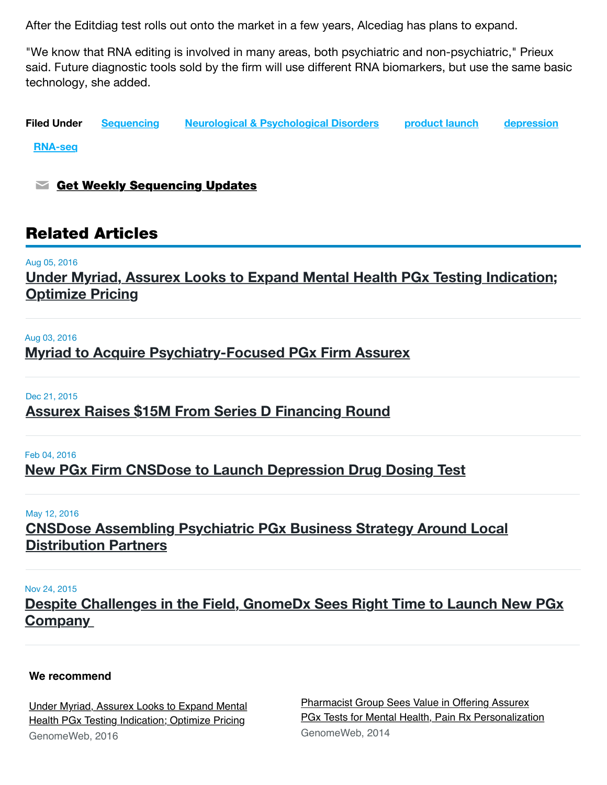After the Editdiag test rolls out onto the market in a few years, Alcediag has plans to expand.

"We know that RNA editing is involved in many areas, both psychiatric and non-psychiatric," Prieux said. Future diagnostic tools sold by the firm will use different RNA biomarkers, but use the same basic technology, she added.

Filed Under [Sequencing](https://www.genomeweb.com/technology/sequencing) [Neurological & Psychological Disorders](https://www.genomeweb.com/disease/neurological-psychological-disorders) [product launch](https://www.genomeweb.com/taxonomy/term/7907) [depression](https://www.genomeweb.com/taxonomy/term/6071)

[RNA-seq](https://www.genomeweb.com/taxonomy/term/6943)

 $\blacktriangleright$  [Get Weekly Sequencing Updates](https://www.genomeweb.com/channel/subscribe/16?tok=G_za2FjOanLvMwWo__brU9gn9oWHEThinkoX53PhGgU&destination=node/374666%3Futm_source%3DSilverpopMailing%26utm_medium%3Demail%26utm_campaign%3DDaily%2520News%253A%2520St.%2520Jude%2520Study%2520Reshapes%2520Hemoglobin%2520Genetic%2520Disorders%2520With%2520CRISPR/Cas9%2520Editing%2520-%252008/15/2016%252004%253A20%253A00%2520PM)

## Related Articles

#### Aug 05, 2016

[Under Myriad, Assurex Looks to Expand Mental Health PGx Testing Indication;](https://www.genomeweb.com/molecular-diagnostics/under-myriad-assurex-looks-expand-mental-health-pgx-testing-indication) Optimize Pricing

#### Aug 03, 2016

[Myriad to Acquire Psychiatry-Focused PGx Firm Assurex](https://www.genomeweb.com/molecular-diagnostics/myriad-acquire-psychiatry-focused-pgx-firm-assurex)

#### Dec 21, 2015

## [Assurex Raises \\$15M From Series D Financing Round](https://www.genomeweb.com/business-news/assurex-raises-15m-series-d-financing-round)

## Feb 04, 2016 [New PGx Firm CNSDose to Launch Depression Drug Dosing Test](https://www.genomeweb.com/molecular-diagnostics/new-pgx-firm-cnsdose-launch-depression-drug-dosing-test)

#### May 12, 2016

[CNSDose Assembling Psychiatric PGx Business Strategy Around Local](https://www.genomeweb.com/molecular-diagnostics/cnsdose-assembling-psychiatric-pgx-business-strategy-around-local-distribution) Distribution Partners

#### Nov 24, 2015

[Despite Challenges in the Field, GnomeDx Sees Right Time to Launch New PGx](https://www.genomeweb.com/molecular-diagnostics/despite-challenges-field-gnomedx-sees-right-time-launch-new-pgx-company) **Company** 

## **We recommend**

[Under Myriad, Assurex Looks to Expand Mental](https://www.genomeweb.com/molecular-diagnostics/under-myriad-assurex-looks-expand-mental-health-pgx-testing-indication?trendmd-shared=0) Health PGx Testing Indication; Optimize Pricing GenomeWeb, 2016

Pharmacist Group Sees Value in Offering Assurex [PGx Tests for Mental Health, Pain Rx Personalization](https://www.genomeweb.com/clinical-genomics/pharmacist-group-sees-value-offering-assurex-pgx-tests-mental-health-pain-rx-per?trendmd-shared=0&utm_campaign=TrendMD&utm_medium=TrendMD&utm_source=TrendMD) GenomeWeb, 2014